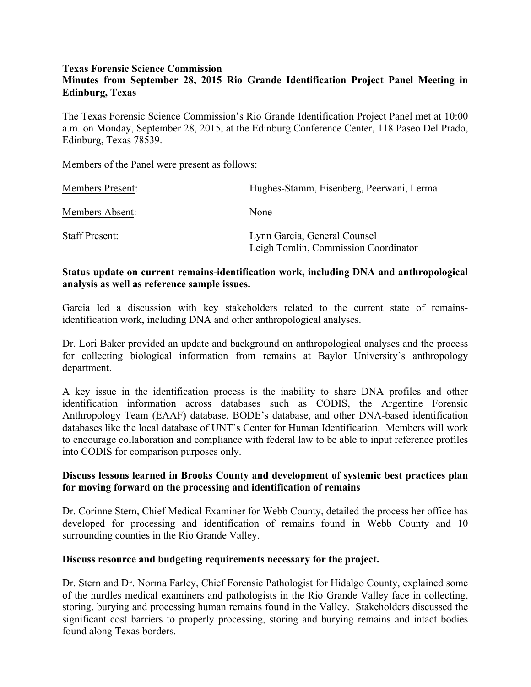#### **Texas Forensic Science Commission**

# **Minutes from September 28, 2015 Rio Grande Identification Project Panel Meeting in Edinburg, Texas**

The Texas Forensic Science Commission's Rio Grande Identification Project Panel met at 10:00 a.m. on Monday, September 28, 2015, at the Edinburg Conference Center, 118 Paseo Del Prado, Edinburg, Texas 78539.

Members of the Panel were present as follows:

| <b>Members Present:</b> | Hughes-Stamm, Eisenberg, Peerwani, Lerma                             |
|-------------------------|----------------------------------------------------------------------|
| Members Absent:         | None                                                                 |
| <b>Staff Present:</b>   | Lynn Garcia, General Counsel<br>Leigh Tomlin, Commission Coordinator |

## **Status update on current remains-identification work, including DNA and anthropological analysis as well as reference sample issues.**

Garcia led a discussion with key stakeholders related to the current state of remainsidentification work, including DNA and other anthropological analyses.

Dr. Lori Baker provided an update and background on anthropological analyses and the process for collecting biological information from remains at Baylor University's anthropology department.

A key issue in the identification process is the inability to share DNA profiles and other identification information across databases such as CODIS, the Argentine Forensic Anthropology Team (EAAF) database, BODE's database, and other DNA-based identification databases like the local database of UNT's Center for Human Identification. Members will work to encourage collaboration and compliance with federal law to be able to input reference profiles into CODIS for comparison purposes only.

## **Discuss lessons learned in Brooks County and development of systemic best practices plan for moving forward on the processing and identification of remains**

Dr. Corinne Stern, Chief Medical Examiner for Webb County, detailed the process her office has developed for processing and identification of remains found in Webb County and 10 surrounding counties in the Rio Grande Valley.

### **Discuss resource and budgeting requirements necessary for the project.**

Dr. Stern and Dr. Norma Farley, Chief Forensic Pathologist for Hidalgo County, explained some of the hurdles medical examiners and pathologists in the Rio Grande Valley face in collecting, storing, burying and processing human remains found in the Valley. Stakeholders discussed the significant cost barriers to properly processing, storing and burying remains and intact bodies found along Texas borders.